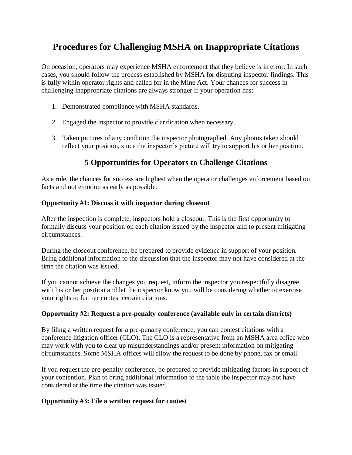# **Procedures for Challenging MSHA on Inappropriate Citations**

On occasion, operators may experience MSHA enforcement that they believe is in error. In such cases, you should follow the process established by MSHA for disputing inspector findings. This is fully within operator rights and called for in the Mine Act. Your chances for success in challenging inappropriate citations are always stronger if your operation has:

- 1. Demonstrated compliance with MSHA standards.
- 2. Engaged the inspector to provide clarification when necessary.
- 3. Taken pictures of any condition the inspector photographed. Any photos taken should reflect your position, since the inspector's picture will try to support his or her position.

## **5 Opportunities for Operators to Challenge Citations**

As a rule, the chances for success are highest when the operator challenges enforcement based on facts and not emotion as early as possible.

### **Opportunity #1: Discuss it with inspector during closeout**

After the inspection is complete, inspectors hold a closeout. This is the first opportunity to formally discuss your position on each citation issued by the inspector and to present mitigating circumstances.

During the closeout conference, be prepared to provide evidence in support of your position. Bring additional information to the discussion that the inspector may not have considered at the time the citation was issued.

If you cannot achieve the changes you request, inform the inspector you respectfully disagree with his or her position and let the inspector know you will be considering whether to exercise your rights to further contest certain citations.

### **Opportunity #2: Request a pre-penalty conference (available only in certain districts)**

By filing a written request for a pre-penalty conference, you can contest citations with a conference litigation officer (CLO). The CLO is a representative from an MSHA area office who may work with you to clear up misunderstandings and/or present information on mitigating circumstances. Some MSHA offices will allow the request to be done by phone, fax or email.

If you request the pre-penalty conference, be prepared to provide mitigating factors in support of your contention. Plan to bring additional information to the table the inspector may not have considered at the time the citation was issued.

### **Opportunity #3: File a written request for contest**